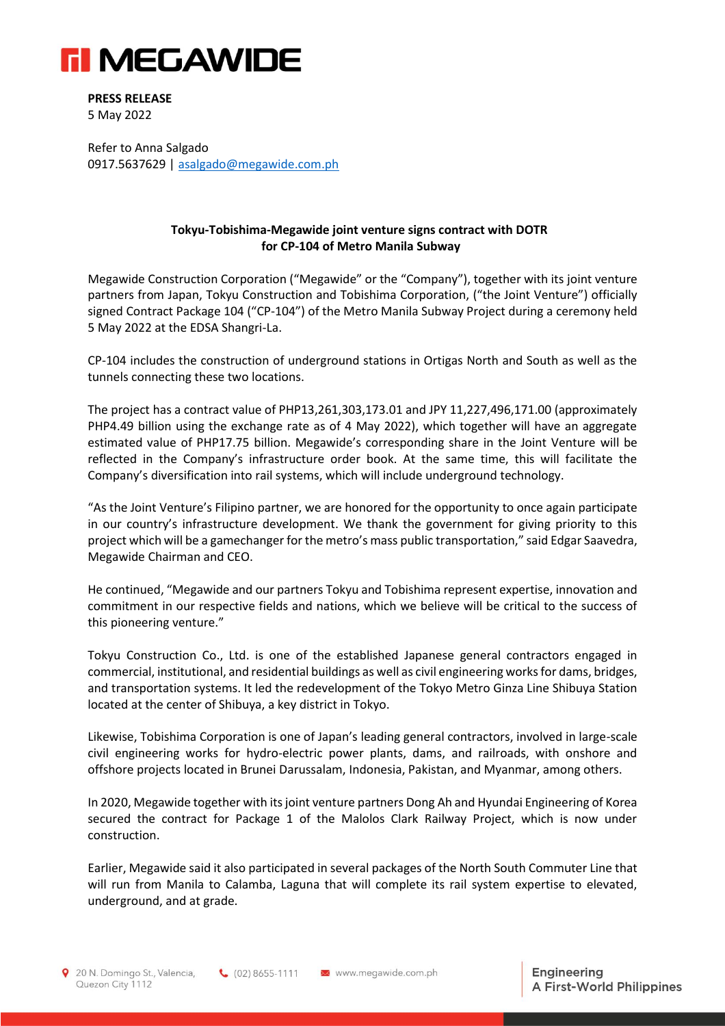

**PRESS RELEASE** 5 May 2022

Refer to Anna Salgado 0917.5637629 | [asalgado@megawide.com.ph](mailto:asalgado@megawide.com.ph)

## **Tokyu-Tobishima-Megawide joint venture signs contract with DOTR for CP-104 of Metro Manila Subway**

Megawide Construction Corporation ("Megawide" or the "Company"), together with its joint venture partners from Japan, Tokyu Construction and Tobishima Corporation, ("the Joint Venture") officially signed Contract Package 104 ("CP-104") of the Metro Manila Subway Project during a ceremony held 5 May 2022 at the EDSA Shangri-La.

CP-104 includes the construction of underground stations in Ortigas North and South as well as the tunnels connecting these two locations.

The project has a contract value of PHP13,261,303,173.01 and JPY 11,227,496,171.00 (approximately PHP4.49 billion using the exchange rate as of 4 May 2022), which together will have an aggregate estimated value of PHP17.75 billion. Megawide's corresponding share in the Joint Venture will be reflected in the Company's infrastructure order book. At the same time, this will facilitate the Company's diversification into rail systems, which will include underground technology.

"As the Joint Venture's Filipino partner, we are honored for the opportunity to once again participate in our country's infrastructure development. We thank the government for giving priority to this project which will be a gamechanger for the metro's mass public transportation," said Edgar Saavedra, Megawide Chairman and CEO.

He continued, "Megawide and our partners Tokyu and Tobishima represent expertise, innovation and commitment in our respective fields and nations, which we believe will be critical to the success of this pioneering venture."

Tokyu Construction Co., Ltd. is one of the established Japanese general contractors engaged in commercial, institutional, and residential buildings as well as civil engineering works for dams, bridges, and transportation systems. It led the redevelopment of the Tokyo Metro Ginza Line Shibuya Station located at the center of Shibuya, a key district in Tokyo.

Likewise, Tobishima Corporation is one of Japan's leading general contractors, involved in large-scale civil engineering works for hydro-electric power plants, dams, and railroads, with onshore and offshore projects located in Brunei Darussalam, Indonesia, Pakistan, and Myanmar, among others.

In 2020, Megawide together with its joint venture partners Dong Ah and Hyundai Engineering of Korea secured the contract for Package 1 of the Malolos Clark Railway Project, which is now under construction.

Earlier, Megawide said it also participated in several packages of the North South Commuter Line that will run from Manila to Calamba, Laguna that will complete its rail system expertise to elevated, underground, and at grade.